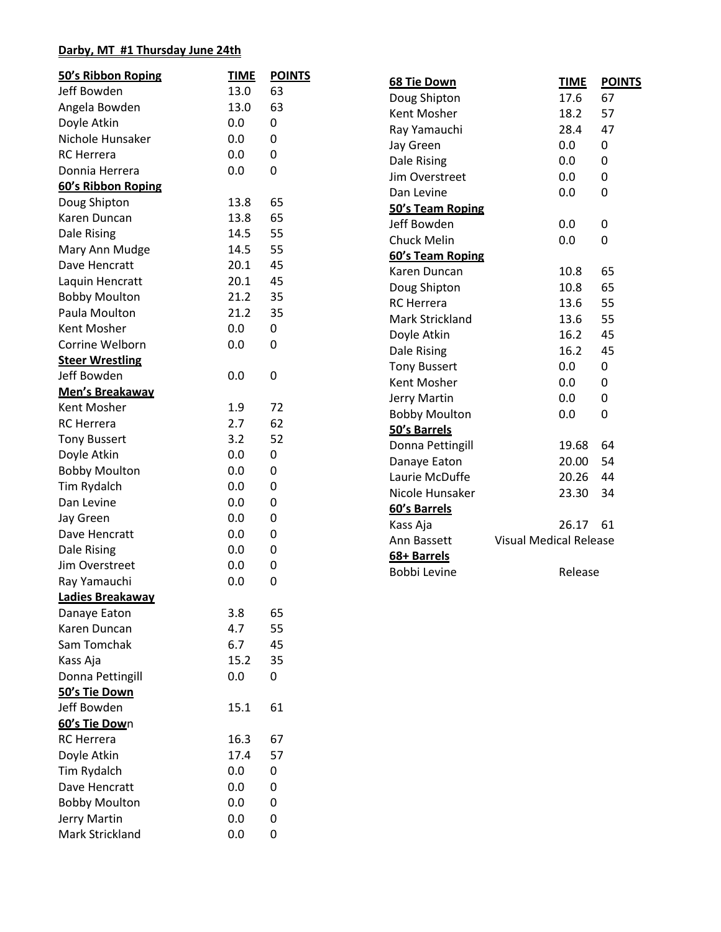## **Darby, MT #1 Thursday June 24th**

| 50's Ribbon Roping     | <b>TIME</b> | <b>POINTS</b> |                      |                               |               |
|------------------------|-------------|---------------|----------------------|-------------------------------|---------------|
| Jeff Bowden            | 13.0        | 63            | 68 Tie Down          | <b>TIME</b>                   | <b>POINTS</b> |
| Angela Bowden          | 13.0        | 63            | Doug Shipton         | 17.6                          | 67            |
| Doyle Atkin            | 0.0         | 0             | Kent Mosher          | 18.2                          | 57            |
| Nichole Hunsaker       | 0.0         | 0             | Ray Yamauchi         | 28.4                          | 47            |
| <b>RC</b> Herrera      | 0.0         | 0             | Jay Green            | 0.0                           | 0             |
| Donnia Herrera         | 0.0         | 0             | Dale Rising          | 0.0                           | 0             |
|                        |             |               | Jim Overstreet       | 0.0                           | 0             |
| 60's Ribbon Roping     |             |               | Dan Levine           | 0.0                           | 0             |
| Doug Shipton           | 13.8        | 65            | 50's Team Roping     |                               |               |
| Karen Duncan           | 13.8        | 65            | Jeff Bowden          | 0.0                           | 0             |
| Dale Rising            | 14.5        | 55            | <b>Chuck Melin</b>   | 0.0                           | 0             |
| Mary Ann Mudge         | 14.5        | 55            | 60's Team Roping     |                               |               |
| Dave Hencratt          | 20.1        | 45            | Karen Duncan         | 10.8                          | 65            |
| Laquin Hencratt        | 20.1        | 45            | Doug Shipton         | 10.8                          | 65            |
| <b>Bobby Moulton</b>   | 21.2        | 35            | <b>RC</b> Herrera    | 13.6                          | 55            |
| Paula Moulton          | 21.2        | 35            | Mark Strickland      | 13.6                          | 55            |
| Kent Mosher            | 0.0         | 0             | Doyle Atkin          | 16.2                          | 45            |
| Corrine Welborn        | 0.0         | 0             | Dale Rising          | 16.2                          | 45            |
| <b>Steer Wrestling</b> |             |               | <b>Tony Bussert</b>  | 0.0                           | 0             |
| Jeff Bowden            | 0.0         | 0             | Kent Mosher          | 0.0                           | 0             |
| Men's Breakaway        |             |               | Jerry Martin         | 0.0                           | 0             |
| Kent Mosher            | 1.9         | 72            | <b>Bobby Moulton</b> | 0.0                           | 0             |
| <b>RC</b> Herrera      | 2.7         | 62            | 50's Barrels         |                               |               |
| <b>Tony Bussert</b>    | 3.2         | 52            | Donna Pettingill     | 19.68                         | 64            |
| Doyle Atkin            | 0.0         | 0             | Danaye Eaton         | 20.00                         | 54            |
| <b>Bobby Moulton</b>   | 0.0         | 0             | Laurie McDuffe       | 20.26                         | 44            |
| Tim Rydalch            | 0.0         | $\pmb{0}$     | Nicole Hunsaker      | 23.30                         | 34            |
| Dan Levine             | 0.0         | $\pmb{0}$     | 60's Barrels         |                               |               |
| Jay Green              | 0.0         | $\pmb{0}$     | Kass Aja             | 26.17                         | 61            |
| Dave Hencratt          | 0.0         | $\pmb{0}$     | Ann Bassett          | <b>Visual Medical Release</b> |               |
| Dale Rising            | 0.0         | 0             | 68+ Barrels          |                               |               |
| Jim Overstreet         | 0.0         | 0             | Bobbi Levine         | Release                       |               |
| Ray Yamauchi           | 0.0         | 0             |                      |                               |               |
| Ladies Breakaway       |             |               |                      |                               |               |
| Danaye Eaton           | 3.8         | 65            |                      |                               |               |
| Karen Duncan           | 4.7         | 55            |                      |                               |               |
| Sam Tomchak            | 6.7         | 45            |                      |                               |               |
| Kass Aja               | 15.2        | 35            |                      |                               |               |
| Donna Pettingill       | 0.0         | 0             |                      |                               |               |
| 50's Tie Down          |             |               |                      |                               |               |
| Jeff Bowden            | 15.1        | 61            |                      |                               |               |
| 60's Tie Down          |             |               |                      |                               |               |
| <b>RC</b> Herrera      | 16.3        | 67            |                      |                               |               |
| Doyle Atkin            | 17.4        | 57            |                      |                               |               |
| Tim Rydalch            | 0.0         | 0             |                      |                               |               |
| Dave Hencratt          | 0.0         | 0             |                      |                               |               |
| <b>Bobby Moulton</b>   | 0.0         | 0             |                      |                               |               |
| Jerry Martin           | 0.0         | 0             |                      |                               |               |
| Mark Strickland        | 0.0         | 0             |                      |                               |               |
|                        |             |               |                      |                               |               |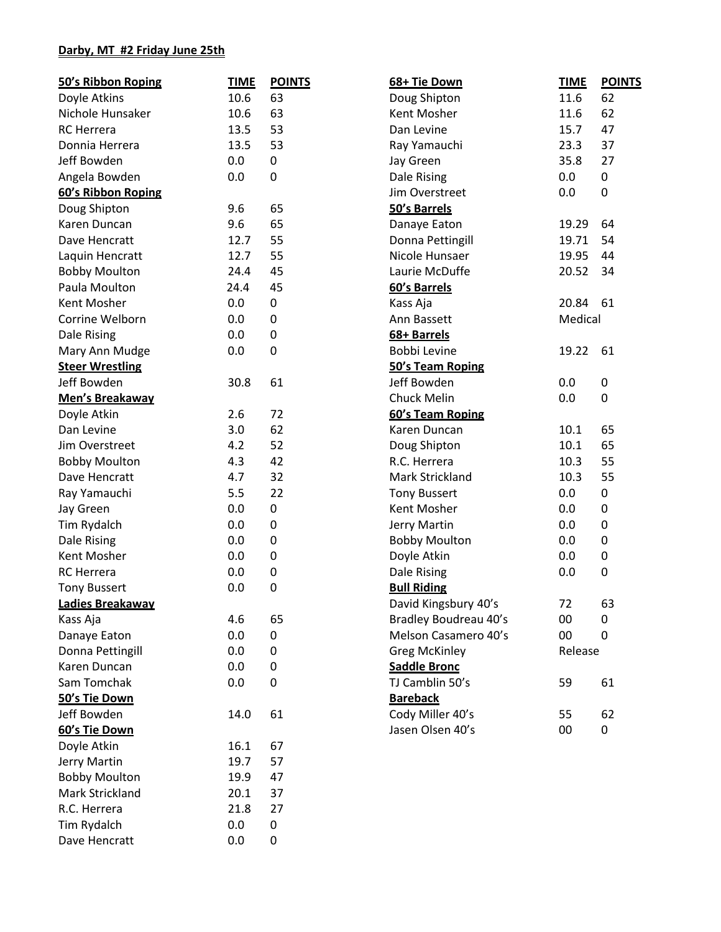## **Darby, MT #2 Friday June 25th**

| 50's Ribbon Roping     | <b>TIME</b> | <b>POINTS</b> | 68+ Tie Down          | <b>TIME</b> | <b>POINTS</b> |
|------------------------|-------------|---------------|-----------------------|-------------|---------------|
| Doyle Atkins           | 10.6        | 63            | Doug Shipton          | 11.6        | 62            |
| Nichole Hunsaker       | 10.6        | 63            | Kent Mosher           | 11.6        | 62            |
| <b>RC</b> Herrera      | 13.5        | 53            | Dan Levine            | 15.7        | 47            |
| Donnia Herrera         | 13.5        | 53            | Ray Yamauchi          | 23.3        | 37            |
| Jeff Bowden            | 0.0         | 0             | Jay Green             | 35.8        | 27            |
| Angela Bowden          | 0.0         | $\pmb{0}$     | Dale Rising           | 0.0         | 0             |
| 60's Ribbon Roping     |             |               | Jim Overstreet        | 0.0         | 0             |
| Doug Shipton           | 9.6         | 65            | 50's Barrels          |             |               |
| Karen Duncan           | 9.6         | 65            | Danaye Eaton          | 19.29       | 64            |
| Dave Hencratt          | 12.7        | 55            | Donna Pettingill      | 19.71       | 54            |
| Laquin Hencratt        | 12.7        | 55            | Nicole Hunsaer        | 19.95       | 44            |
| <b>Bobby Moulton</b>   | 24.4        | 45            | Laurie McDuffe        | 20.52       | 34            |
| Paula Moulton          | 24.4        | 45            | 60's Barrels          |             |               |
| Kent Mosher            | 0.0         | 0             | Kass Aja              | 20.84       | 61            |
| Corrine Welborn        | 0.0         | $\mathbf 0$   | Ann Bassett           | Medical     |               |
| Dale Rising            | 0.0         | $\pmb{0}$     | 68+ Barrels           |             |               |
| Mary Ann Mudge         | 0.0         | $\pmb{0}$     | Bobbi Levine          | 19.22       | 61            |
| <b>Steer Wrestling</b> |             |               | 50's Team Roping      |             |               |
| Jeff Bowden            | 30.8        | 61            | Jeff Bowden           | 0.0         | 0             |
| Men's Breakaway        |             |               | Chuck Melin           | 0.0         | 0             |
| Doyle Atkin            | 2.6         | 72            | 60's Team Roping      |             |               |
| Dan Levine             | 3.0         | 62            | Karen Duncan          | 10.1        | 65            |
| Jim Overstreet         | 4.2         | 52            | Doug Shipton          | 10.1        | 65            |
| <b>Bobby Moulton</b>   | 4.3         | 42            | R.C. Herrera          | 10.3        | 55            |
| Dave Hencratt          | 4.7         | 32            | Mark Strickland       | 10.3        | 55            |
| Ray Yamauchi           | 5.5         | 22            | <b>Tony Bussert</b>   | 0.0         | 0             |
| Jay Green              | 0.0         | $\pmb{0}$     | Kent Mosher           | 0.0         | 0             |
| Tim Rydalch            | 0.0         | $\mathbf 0$   | Jerry Martin          | 0.0         | 0             |
| Dale Rising            | 0.0         | 0             | <b>Bobby Moulton</b>  | 0.0         | 0             |
| Kent Mosher            | 0.0         | $\pmb{0}$     | Doyle Atkin           | 0.0         | $\pmb{0}$     |
| <b>RC</b> Herrera      | 0.0         | 0             | Dale Rising           | 0.0         | 0             |
| <b>Tony Bussert</b>    | 0.0         | 0             | <b>Bull Riding</b>    |             |               |
| Ladies Breakaway       |             |               | David Kingsbury 40's  | 72          | 63            |
| Kass Aja               | 4.6         | 65            | Bradley Boudreau 40's | 00          | 0             |
| Danaye Eaton           | 0.0         | 0             | Melson Casamero 40's  | 00          | 0             |
| Donna Pettingill       | 0.0         | $\mathbf 0$   | <b>Greg McKinley</b>  | Release     |               |
| Karen Duncan           | 0.0         | $\pmb{0}$     | <b>Saddle Bronc</b>   |             |               |
| Sam Tomchak            | 0.0         | 0             | TJ Camblin 50's       | 59          | 61            |
| 50's Tie Down          |             |               | <b>Bareback</b>       |             |               |
| Jeff Bowden            | 14.0        | 61            | Cody Miller 40's      | 55          | 62            |
| 60's Tie Down          |             |               | Jasen Olsen 40's      | 00          | 0             |
| Doyle Atkin            | 16.1        | 67            |                       |             |               |
| Jerry Martin           | 19.7        | 57            |                       |             |               |
| <b>Bobby Moulton</b>   | 19.9        | 47            |                       |             |               |
| Mark Strickland        | 20.1        | 37            |                       |             |               |
| R.C. Herrera           | 21.8        | 27            |                       |             |               |
| Tim Rydalch            | 0.0         | 0             |                       |             |               |
| Dave Hencratt          | 0.0         | 0             |                       |             |               |